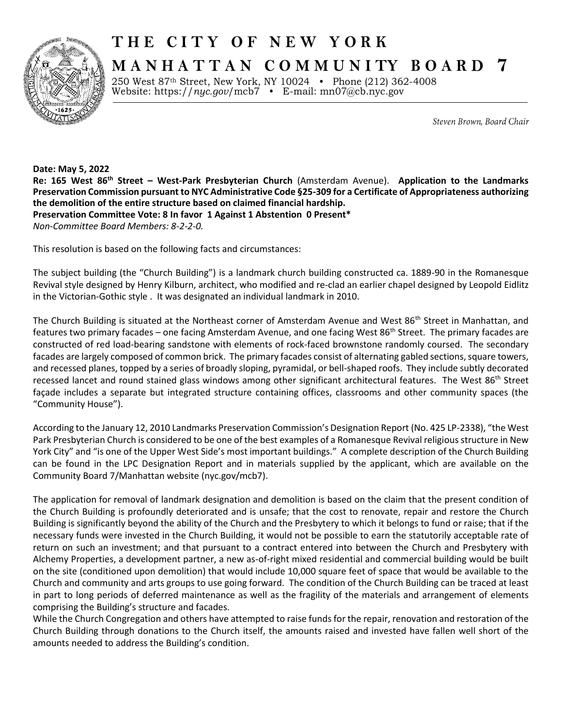

## **T H E C I T Y O F N E W Y O R K**

**M A N H A T T A N C O M M U N I TY B O A R D 7**

250 West 87th Street, New York, NY 10024 • Phone (212) 362-4008 Website: https://*nyc.gov*/mcb7 • E-mail: [mn07@cb.nyc.gov](mailto:mn07@cb.nyc.gov)

Steven Brown, Board Chair

**Date: May 5, 2022 Re: 165 West 86th Street – West-Park Presbyterian Church** (Amsterdam Avenue). **Application to the Landmarks Preservation Commission pursuant to NYC Administrative Code §25-309 for a Certificate of Appropriateness authorizing the demolition of the entire structure based on claimed financial hardship. Preservation Committee Vote: 8 In favor 1 Against 1 Abstention 0 Present\*** *Non-Committee Board Members: 8-2-2-0.*

This resolution is based on the following facts and circumstances:

The subject building (the "Church Building") is a landmark church building constructed ca. 1889-90 in the Romanesque Revival style designed by Henry Kilburn, architect, who modified and re-clad an earlier chapel designed by Leopold Eidlitz in the Victorian-Gothic style . It was designated an individual landmark in 2010.

The Church Building is situated at the Northeast corner of Amsterdam Avenue and West 86<sup>th</sup> Street in Manhattan, and features two primary facades - one facing Amsterdam Avenue, and one facing West 86<sup>th</sup> Street. The primary facades are constructed of red load-bearing sandstone with elements of rock-faced brownstone randomly coursed. The secondary facades are largely composed of common brick. The primary facades consist of alternating gabled sections, square towers, and recessed planes, topped by a series of broadly sloping, pyramidal, or bell-shaped roofs. They include subtly decorated recessed lancet and round stained glass windows among other significant architectural features. The West 86<sup>th</sup> Street façade includes a separate but integrated structure containing offices, classrooms and other community spaces (the "Community House").

According to the January 12, 2010 Landmarks Preservation Commission's Designation Report (No. 425 LP-2338), "the West Park Presbyterian Church is considered to be one of the best examples of a Romanesque Revival religious structure in New York City" and "is one of the Upper West Side's most important buildings." A complete description of the Church Building can be found in the LPC Designation Report and in materials supplied by the applicant, which are available on the Community Board 7/Manhattan website (nyc.gov/mcb7).

The application for removal of landmark designation and demolition is based on the claim that the present condition of the Church Building is profoundly deteriorated and is unsafe; that the cost to renovate, repair and restore the Church Building is significantly beyond the ability of the Church and the Presbytery to which it belongs to fund or raise; that if the necessary funds were invested in the Church Building, it would not be possible to earn the statutorily acceptable rate of return on such an investment; and that pursuant to a contract entered into between the Church and Presbytery with Alchemy Properties, a development partner, a new as-of-right mixed residential and commercial building would be built on the site (conditioned upon demolition) that would include 10,000 square feet of space that would be available to the Church and community and arts groups to use going forward. The condition of the Church Building can be traced at least in part to long periods of deferred maintenance as well as the fragility of the materials and arrangement of elements comprising the Building's structure and facades.

While the Church Congregation and others have attempted to raise funds for the repair, renovation and restoration of the Church Building through donations to the Church itself, the amounts raised and invested have fallen well short of the amounts needed to address the Building's condition.